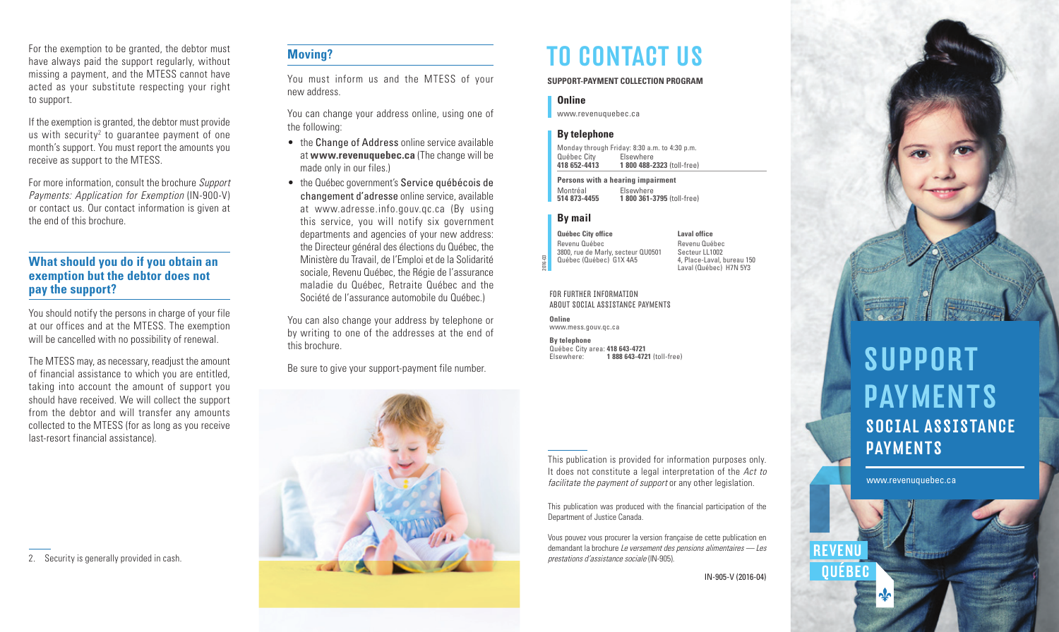For the exemption to be granted, the debtor must have always paid the support regularly, without missing a payment, and the MTESS cannot have acted as your substitute respecting your right to support.

If the exemption is granted, the debtor must provide us with security<sup>2</sup> to guarantee payment of one month's support. You must report the amounts you receive as support to the MTESS.

For more information, consult the brochure Support Payments: Application for Exemption (IN-900-V) or contact us. Our contact information is given at the end of this brochure.

## **What should you do if you obtain an exemption but the debtor does not pay the support?**

You should notify the persons in charge of your file at our offices and at the MTESS. The exemption will be cancelled with no possibility of renewal.

The MTESS may, as necessary, readjust the amount of financial assistance to which you are entitled, taking into account the amount of support you should have received. We will collect the support from the debtor and will transfer any amounts collected to the MTESS (for as long as you receive last-resort financial assistance).

2. Security is generally provided in cash.

# **Moving?**

You must inform us and the MTESS of your new address.

You can change your address online, using one of the following:

- the Change of Address online service available at **www.revenuquebec.ca** (The change will be made only in our files.)
- the Québec government's Service québécois de changement d'adresse online service, available at www.adresse.info.gouv.qc.ca (By using this service, you will notify six government departments and agencies of your new address: the Directeur général des élections du Québec, the Ministère du Travail, de l'Emploi et de la Solidarité sociale, Revenu Québec, the Régie de l'assurance maladie du Québec, Retraite Québec and the Société de l'assurance automobile du Québec.)

You can also change your address by telephone or by writing to one of the addresses at the end of this brochure.

Be sure to give your support-payment file number.



# TO CONTACT US

**SUPPORT-PAYMENT COLLECTION PROGRAM**

#### **Online**

<www.revenuquebec.ca>

#### **By telephone**

Monday through Friday: 8:30 a.m. to 4:30 p.m. Québec City Elsewhere<br>418 652-4413 1 800 488-**418 652-4413 1 800 488-2323** (toll-free)

**Persons with a hearing impairment** Montréal Elsewhere **514 873-4455 1 800 361-3795** (toll-free)

#### **By mail**

2016-03

**Québec City office** Revenu Québec 3800, rue de Marly, secteur QU0501 Québec (Québec) G1X 4A5

**Laval office** Revenu Québec Secteur LL1002 4, Place-Laval, bureau 150 Laval (Québec) H7N 5Y3

FOR FURTHER INFORMATION ABOUT SOCIAL ASSISTANCE PAYMENTS

**Online** <www.mess.gouv.qc.ca>

**By telephone** Québec City area: **418 643-4721** Elsewhere: **1 888 643-4721** (toll-free)

This publication is provided for information purposes only. It does not constitute a legal interpretation of the Act to facilitate the payment of support or any other legislation.

This publication was produced with the financial participation of the Department of Justice Canada.

Vous pouvez vous procurer la version française de cette publication en demandant la brochure Le versement des pensions alimentaires — Les prestations d'assistance sociale (IN-905).

IN-905-V (2016-04)



# **SUPPORT**  PAYMENTS SOCIAL ASSISTANCE PAYMENTS

**REVENU** 

OUÉBEC